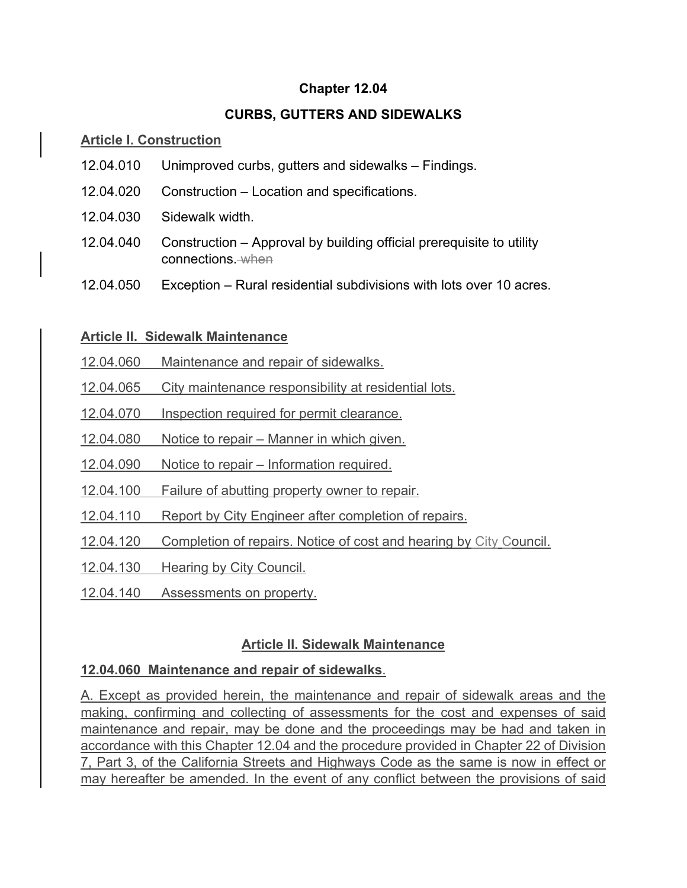#### **Chapter 12.04**

#### **CURBS, GUTTERS AND SIDEWALKS**

#### **Article I. Construction**

- 12.04.010 Unimproved curbs, gutters and sidewalks Findings.
- 12.04.020 Construction Location and specifications.
- 12.04.030 Sidewalk width.
- 12.04.040 Construction Approval by building official prerequisite to utility connections. when
- 12.04.050 Exception Rural residential subdivisions with lots over 10 acres.

#### **Article II. Sidewalk Maintenance**

- 12.04.060 Maintenance and repair of sidewalks.
- 12.04.065 City maintenance responsibility at residential lots.
- 12.04.070 Inspection required for permit clearance.
- 12.04.080 Notice to repair Manner in which given.
- 12.04.090 Notice to repair Information required.
- 12.04.100 Failure of abutting property owner to repair.
- 12.04.110 Report by City Engineer after completion of repairs.
- 12.04.120 Completion of repairs. Notice of cost and hearing by City Council.
- 12.04.130 Hearing by City Council.
- 12.04.140 Assessments on property.

#### **Article II. Sidewalk Maintenance**

#### **12.04.060 Maintenance and repair of sidewalks**.

A. Except as provided herein, the maintenance and repair of sidewalk areas and the making, confirming and collecting of assessments for the cost and expenses of said maintenance and repair, may be done and the proceedings may be had and taken in accordance with this Chapter 12.04 and the procedure provided in Chapter 22 of Division 7, Part 3, of the California Streets and Highways Code as the same is now in effect or may hereafter be amended. In the event of any conflict between the provisions of said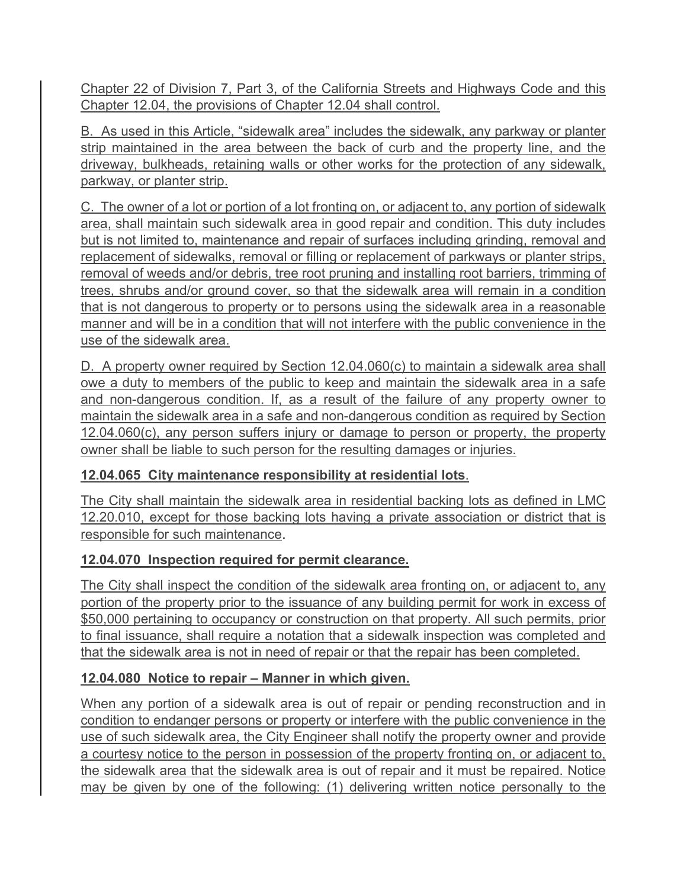Chapter 22 of Division 7, Part 3, of the California Streets and Highways Code and this Chapter 12.04, the provisions of Chapter 12.04 shall control.

B. As used in this Article, "sidewalk area" includes the sidewalk, any parkway or planter strip maintained in the area between the back of curb and the property line, and the driveway, bulkheads, retaining walls or other works for the protection of any sidewalk, parkway, or planter strip.

C. The owner of a lot or portion of a lot fronting on, or adjacent to, any portion of sidewalk area, shall maintain such sidewalk area in good repair and condition. This duty includes but is not limited to, maintenance and repair of surfaces including grinding, removal and replacement of sidewalks, removal or filling or replacement of parkways or planter strips, removal of weeds and/or debris, tree root pruning and installing root barriers, trimming of trees, shrubs and/or ground cover, so that the sidewalk area will remain in a condition that is not dangerous to property or to persons using the sidewalk area in a reasonable manner and will be in a condition that will not interfere with the public convenience in the use of the sidewalk area.

D. A property owner required by Section 12.04.060(c) to maintain a sidewalk area shall owe a duty to members of the public to keep and maintain the sidewalk area in a safe and non-dangerous condition. If, as a result of the failure of any property owner to maintain the sidewalk area in a safe and non-dangerous condition as required by Section 12.04.060(c), any person suffers injury or damage to person or property, the property owner shall be liable to such person for the resulting damages or injuries.

## **12.04.065 City maintenance responsibility at residential lots**.

The City shall maintain the sidewalk area in residential backing lots as defined in LMC 12.20.010, except for those backing lots having a private association or district that is responsible for such maintenance.

## **12.04.070 Inspection required for permit clearance.**

The City shall inspect the condition of the sidewalk area fronting on, or adjacent to, any portion of the property prior to the issuance of any building permit for work in excess of \$50,000 pertaining to occupancy or construction on that property. All such permits, prior to final issuance, shall require a notation that a sidewalk inspection was completed and that the sidewalk area is not in need of repair or that the repair has been completed.

## **12.04.080 Notice to repair – Manner in which given.**

When any portion of a sidewalk area is out of repair or pending reconstruction and in condition to endanger persons or property or interfere with the public convenience in the use of such sidewalk area, the City Engineer shall notify the property owner and provide a courtesy notice to the person in possession of the property fronting on, or adjacent to, the sidewalk area that the sidewalk area is out of repair and it must be repaired. Notice may be given by one of the following: (1) delivering written notice personally to the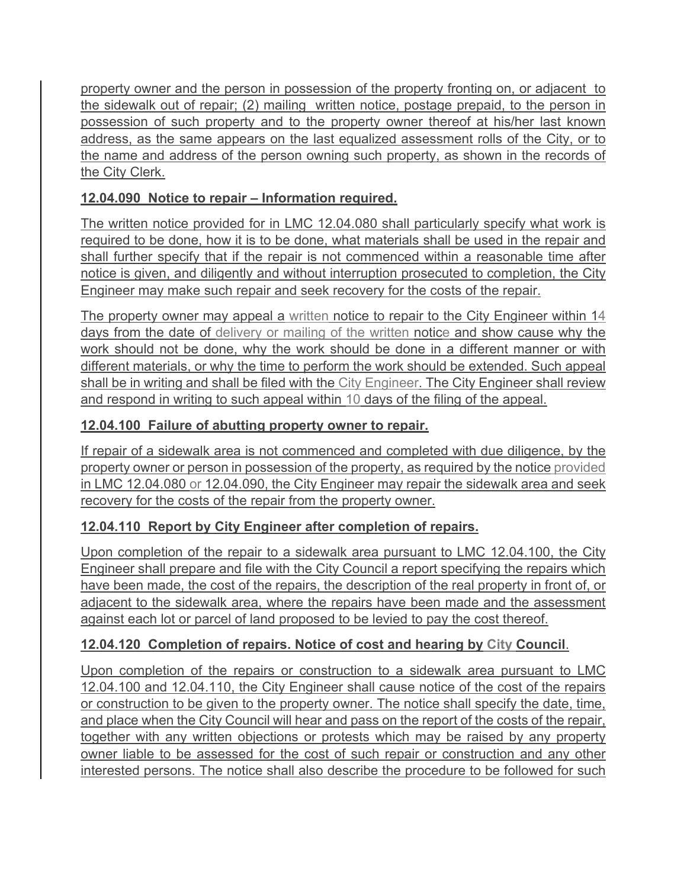property owner and the person in possession of the property fronting on, or adjacent to the sidewalk out of repair; (2) mailing written notice, postage prepaid, to the person in possession of such property and to the property owner thereof at his/her last known address, as the same appears on the last equalized assessment rolls of the City, or to the name and address of the person owning such property, as shown in the records of the City Clerk.

# **12.04.090 Notice to repair – Information required.**

The written notice provided for in LMC 12.04.080 shall particularly specify what work is required to be done, how it is to be done, what materials shall be used in the repair and shall further specify that if the repair is not commenced within a reasonable time after notice is given, and diligently and without interruption prosecuted to completion, the City Engineer may make such repair and seek recovery for the costs of the repair.

The property owner may appeal a written notice to repair to the City Engineer within 14 days from the date of delivery or mailing of the written notice and show cause why the work should not be done, why the work should be done in a different manner or with different materials, or why the time to perform the work should be extended. Such appeal shall be in writing and shall be filed with the City Engineer. The City Engineer shall review and respond in writing to such appeal within 10 days of the filing of the appeal.

# **12.04.100 Failure of abutting property owner to repair.**

If repair of a sidewalk area is not commenced and completed with due diligence, by the property owner or person in possession of the property, as required by the notice provided in LMC 12.04.080 or 12.04.090, the City Engineer may repair the sidewalk area and seek recovery for the costs of the repair from the property owner.

## **12.04.110 Report by City Engineer after completion of repairs.**

Upon completion of the repair to a sidewalk area pursuant to LMC 12.04.100, the City Engineer shall prepare and file with the City Council a report specifying the repairs which have been made, the cost of the repairs, the description of the real property in front of, or adjacent to the sidewalk area, where the repairs have been made and the assessment against each lot or parcel of land proposed to be levied to pay the cost thereof.

# **12.04.120 Completion of repairs. Notice of cost and hearing by City Council**.

Upon completion of the repairs or construction to a sidewalk area pursuant to LMC 12.04.100 and 12.04.110, the City Engineer shall cause notice of the cost of the repairs or construction to be given to the property owner. The notice shall specify the date, time, and place when the City Council will hear and pass on the report of the costs of the repair, together with any written objections or protests which may be raised by any property owner liable to be assessed for the cost of such repair or construction and any other interested persons. The notice shall also describe the procedure to be followed for such